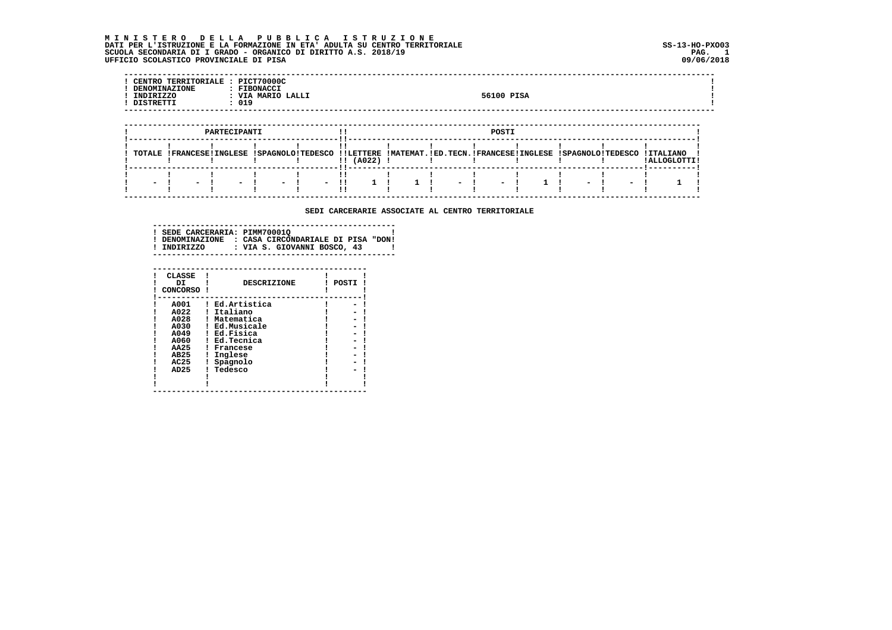M I N I S T E R O D E L L A P U B B L I C A I S T R U Z I O N E<br>DATI PER L'ISTRUZIONE E LA FORMAZIONE IN ETA'ADULTA SU CENTRO TERRITORIALE SCUOLA SECONDARIA DI I GRADO - ORGANICO DI DIRITTO A.S. 2018/19 UFFICIO SCOLASTICO PROVINCIALE DI PISA

| INDIRIZZO<br>DISTRETTI | CENTRO TERRITORIALE : PICT70000C<br><b>DENOMINAZIONE</b> | : 019        | : FIBONACCI<br>: VIA MARIO LALLI |  |  | 56100 PISA |  |  |  |
|------------------------|----------------------------------------------------------|--------------|----------------------------------|--|--|------------|--|--|--|
|                        |                                                          |              |                                  |  |  |            |  |  |  |
|                        |                                                          | PARTECIPANTI |                                  |  |  | POSTI      |  |  |  |

 **----------------------------------------------------------------------------------------------------------------------------**

 **SEDI CARCERARIE ASSOCIATE AL CENTRO TERRITORIALE**

  **! ! ! ! ! !! ! ! ! ! ! ! ! ! ! - ! - ! - ! - ! - !! 1 ! 1 ! - ! - ! 1 ! - ! - ! 1 ! ! ! ! ! ! !! ! ! ! ! ! ! ! ! -------------------------------------------------------------------------------------------------------------------------**

 **---------------------------------------------------** $\blacksquare$  **! SEDE CARCERARIA: PIMM70001Q ! ! DENOMINAZIONE : CASA CIRCONDARIALE DI PISA "DON! ! INDIRIZZO : VIA S. GIOVANNI BOSCO, 43 ! ---------------------------------------------------**

| <b>CLASSE</b><br>DI<br>CONCORSO | <b>DESCRIZIONE</b> | POSTI |
|---------------------------------|--------------------|-------|
| A001                            | Ed.Artistica       |       |
| A022                            | Italiano           |       |
| A028                            | Matematica         |       |
| A030                            | Ed.Musicale        |       |
| A049                            | Ed.Fisica          |       |
| A060                            | Ed.Tecnica         |       |
| AA25                            | Francese           |       |
| AB25                            | Inglese            |       |
| AC25                            | Spagnolo           |       |
| AD <sub>25</sub>                | Tedesco            |       |
|                                 |                    |       |
|                                 |                    |       |

 **---------------------------------------------**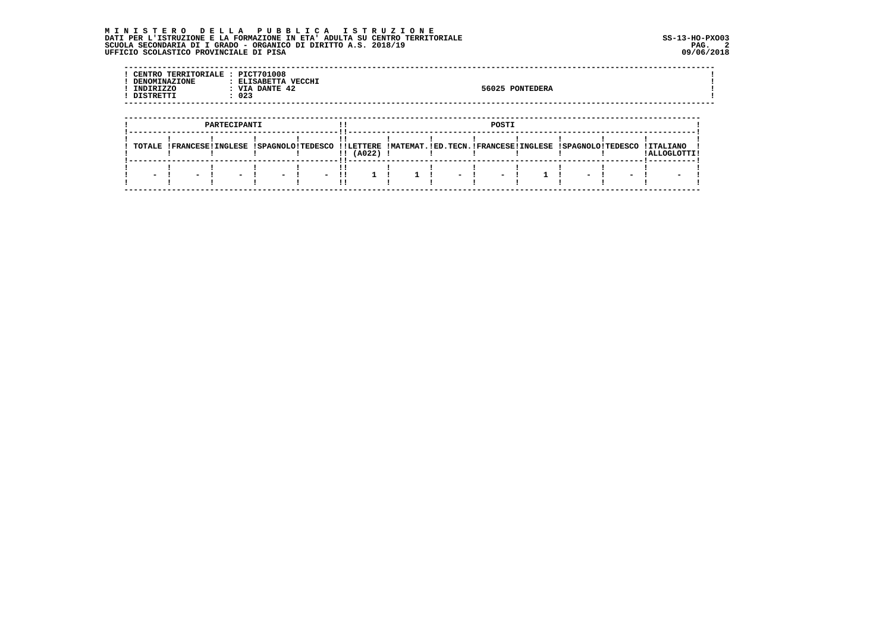## MINISTERO DELLA PUBBLICA ISTRUZIONE<br>DATIPERL'ISTRUZIONE E LA FORMAZIONE IN ETA'ADULTA SU CENTRO TERRITORIALE<br>SCUOLA SECONDARIA DI IGRADO – ORGANICO DI DIRITTO A.S. 2018/19<br>UFFICIO SCOLASTICO PROVINCIALE DI PISA

| CENTRO TERRITORIALE : PICT701008<br>DENOMINAZIONE<br>INDIRIZZO<br>DISTRETTI | : ELISABETTA VECCHI<br>: VIA DANTE 42<br>: 023 | 56025 PONTEDERA |  |
|-----------------------------------------------------------------------------|------------------------------------------------|-----------------|--|
|                                                                             |                                                |                 |  |
|                                                                             | PARTECIPANTI                                   | POSTI           |  |

| <b>TOTALE</b> |  | I SPACNOLO I TEDESCO |                            |  |  | ILLETTERE IMATEMAT IED TECN IFRANCESEITNGLESE ISPAGNOLOITEDESCO |                          |
|---------------|--|----------------------|----------------------------|--|--|-----------------------------------------------------------------|--------------------------|
|               |  |                      | (A022)                     |  |  |                                                                 |                          |
|               |  |                      | ----!!------- <sup>.</sup> |  |  |                                                                 |                          |
|               |  |                      |                            |  |  |                                                                 |                          |
|               |  |                      |                            |  |  |                                                                 | $\overline{\phantom{a}}$ |
|               |  |                      |                            |  |  |                                                                 |                          |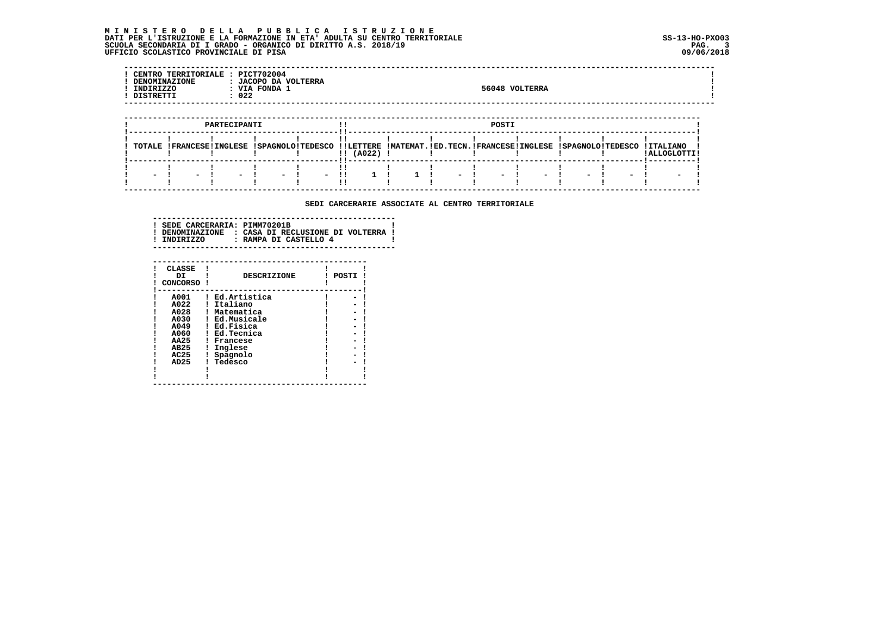## **M I N I S T E R O D E L L A P U B B L I C A I S T R U Z I O N E DATI PER L'ISTRUZIONE E LA FORMAZIONE IN ETA' ADULTA SU CENTRO TERRITORIALE SS-13-HO-PXO03 SCUOLA SECONDARIA DI I GRADO - ORGANICO DI DIRITTO A.S. 2018/19 PAG. 3 UFFICIO SCOLASTICO PROVINCIALE DI PISA 09/06/2018**

| $- -$ | <b>CENTRC</b><br>ITORIALE<br><b>TERRI.</b><br>ำพE<br>DEN<br>INDIRIZZO<br><b>DICTORT</b> | <b>PICT702004</b><br>VOLTERRA<br>JACOPO DA<br><b>FONDA</b><br>VIA<br>022 | 56048 | VOLTERRA |  |
|-------|-----------------------------------------------------------------------------------------|--------------------------------------------------------------------------|-------|----------|--|
| ---   |                                                                                         |                                                                          |       |          |  |

|        | PARTECIPANTI             |               |        |                                                                                                            |   |           | POSTI |                      |  |               |        |  |        |   |             |  |  |  |
|--------|--------------------------|---------------|--------|------------------------------------------------------------------------------------------------------------|---|-----------|-------|----------------------|--|---------------|--------|--|--------|---|-------------|--|--|--|
|        |                          |               |        | TOTALE !FRANCESE!INGLESE !SPAGNOLO!TEDESCO !!LETTERE !MATEMAT.!ED.TECN.!FRANCESE!INGLESE !SPAGNOLO!TEDESCO |   |           |       |                      |  |               |        |  |        |   | I TTALTANO  |  |  |  |
|        |                          |               |        |                                                                                                            |   | 1! (A022) |       |                      |  |               |        |  |        |   | LALLOGLOTTI |  |  |  |
|        |                          |               |        |                                                                                                            |   |           |       |                      |  |               |        |  |        |   |             |  |  |  |
| $\sim$ | $\overline{\phantom{0}}$ | $\sim$ $\sim$ | $\sim$ | $\sim$ $\sim$                                                                                              | . |           |       | $\sim$ $\sim$ $\sim$ |  | $\sim$ $\sim$ | $\sim$ |  | $\sim$ | - |             |  |  |  |

 **SEDI CARCERARIE ASSOCIATE AL CENTRO TERRITORIALE**

| ! SEDE CARCERARIA: PIMM70201B<br>! INDIRIZZO | ! DENOMINAZIONE : CASA DI RECLUSIONE DI VOLTERRA !<br>: RAMPA DI CASTELLO 4 |  |
|----------------------------------------------|-----------------------------------------------------------------------------|--|
|                                              |                                                                             |  |

| <b>CLASSE</b><br>DI<br>CONCORSO I | <b>DESCRIZIONE</b> | POSTI |
|-----------------------------------|--------------------|-------|
| A001                              | Ed.Artistica       |       |
| A022                              | Italiano           |       |
| A028                              | Matematica         |       |
| A030                              | Ed.Musicale        |       |
| A049                              | Ed.Fisica          |       |
| A060                              | Ed.Tecnica         |       |
| <b>AA25</b>                       | Francese           |       |
| AB25                              | Inglese            |       |
| AC25                              | Spagnolo           |       |
| AD <sub>25</sub>                  | Tedesco            |       |
|                                   |                    |       |
|                                   |                    |       |